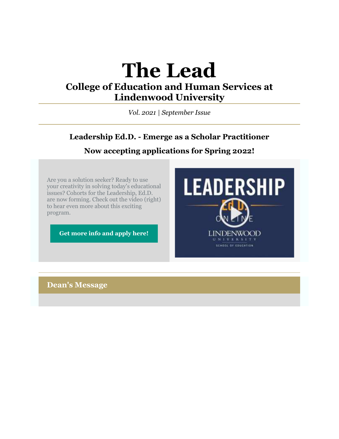# **The Lead**

# **College of Education and Human Services at Lindenwood University**

*Vol. 2021 | September Issue*

# **Leadership Ed.D. - Emerge as a Scholar Practitioner Now accepting applications for Spring 2022!**

Are you a solution seeker? Ready to use your creativity in solving today's educational issues? Cohorts for the Leadership, Ed.D. are now forming. Check out the video (right) to hear even more about this exciting program.

**[Get more info and apply here!](https://r20.rs6.net/tn.jsp?f=001EUpAqZyStRFUO1qHByzd4KR7xwONzUXPDuP3gMrA_IkRHxjSeAoTU6LZowxCmqNmQtlC4i0EQbEf7-TDqYEUACNS878xeSz_AwyW9kIGtlZp1c7O_cn9KCZxsbYVPqaDo9MV6vQOROYBAT6I9QzbTAETRkeKhPWGL2BXs-ZI8kU6IrRDNTd4lEQQ4K-Q84T5HDhKlEQStgMz5ftZYEyHS8EUPIHV_Y58W7OkNywIAGJvxgCQnNv5Ozs6Qc93JWCDpUAIkG1Bi09c_jGRitncfg==&c=Y40GkkSW_vXITTIKRsrFZmDT0fjBXdL9ozj6zp5-iJl6XEubLfvrXg==&ch=MiBODeUyJWZI0Pb68XRNarPa4s2TnX8zTE4w5mkcCoIkbhiCaYnkyA==)**



**Dean's Message**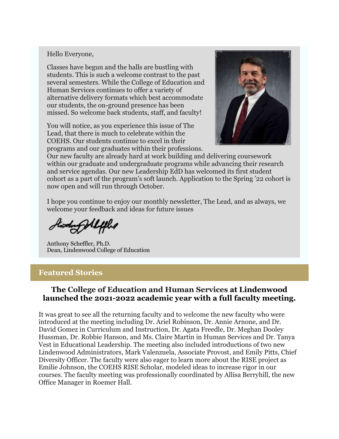#### Hello Everyone,

Classes have begun and the halls are bustling with students. This is such a welcome contrast to the past several semesters. While the College of Education and Human Services continues to offer a variety of alternative delivery formats which best accommodate our students, the on-ground presence has been missed. So welcome back students, staff, and faculty!

You will notice, as you experience this issue of The Lead, that there is much to celebrate within the COEHS. Our students continue to excel in their programs and our graduates within their professions.



Our new faculty are already hard at work building and delivering coursework within our graduate and undergraduate programs while advancing their research and service agendas. Our new Leadership EdD has welcomed its first student cohort as a part of the program's soft launch. Application to the Spring '22 cohort is now open and will run through October.

I hope you continue to enjoy our monthly newsletter, The Lead, and as always, we welcome your feedback and ideas for future issues

Anthony Scheffler, Ph.D. Dean, Lindenwood College of Education

#### **Featured Stories**

#### **The College of Education and Human Services at Lindenwood launched the 2021-2022 academic year with a full faculty meeting.**

It was great to see all the returning faculty and to welcome the new faculty who were introduced at the meeting including Dr. Ariel Robinson, Dr. Annie Arnone, and Dr. David Gomez in Curriculum and Instruction, Dr. Agata Freedle, Dr. Meghan Dooley Hussman, Dr. Robbie Hanson, and Ms. Claire Martin in Human Services and Dr. Tanya Vest in Educational Leadership. The meeting also included introductions of two new Lindenwood Administrators, Mark Valenzuela, Associate Provost, and Emily Pitts, Chief Diversity Officer. The faculty were also eager to learn more about the RISE project as Emilie Johnson, the COEHS RISE Scholar, modeled ideas to increase rigor in our courses. The faculty meeting was professionally coordinated by Allisa Berryhill, the new Office Manager in Roemer Hall.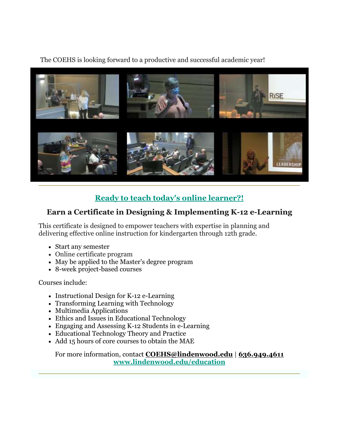The COEHS is looking forward to a productive and successful academic year!



# **Ready to teach today's online learner?!**

# **Earn a Certificate in Designing & Implementing K-12 e-Learning**

This certificate is designed to empower teachers with expertise in planning and delivering effective online instruction for kindergarten through 12th grade.

- Start any semester
- Online certificate program
- May be applied to the Master's degree program
- 8-week project-based courses

Courses include:

- Instructional Design for K-12 e-Learning
- Transforming Learning with Technology
- Multimedia Applications
- Ethics and Issues in Educational Technology
- Engaging and Assessing K-12 Students in e-Learning
- Educational Technology Theory and Practice
- Add 15 hours of core courses to obtain the MAE

For more information, contact **[COEHS@lindenwood.edu](mailto:COEHS@lindenwood.edu)** | **636.949.4611 [www.lindenwood.edu/education](https://r20.rs6.net/tn.jsp?f=001EUpAqZyStRFUO1qHByzd4KR7xwONzUXPDuP3gMrA_IkRHxjSeAoTU1VciyoXGEhOdWvvNM0fGpTYSsLBYQ0h6ul2krPYQ0m7T6bU83GFwbfD-T4QaX2AkaU2NMr8I2ZlAymu1ODeSZejXqNqOHVecW3QUW3AVfZk&c=Y40GkkSW_vXITTIKRsrFZmDT0fjBXdL9ozj6zp5-iJl6XEubLfvrXg==&ch=MiBODeUyJWZI0Pb68XRNarPa4s2TnX8zTE4w5mkcCoIkbhiCaYnkyA==)**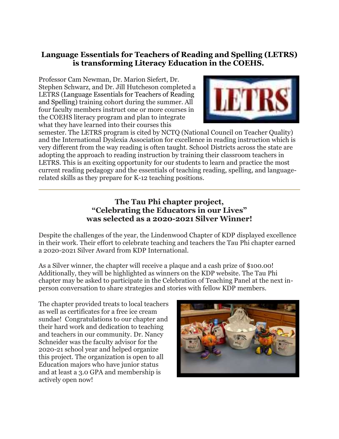# **Language Essentials for Teachers of Reading and Spelling (LETRS) is transforming Literacy Education in the COEHS.**

Professor Cam Newman, Dr. Marion Siefert, Dr. Stephen Schwarz, and Dr. Jill Hutcheson completed a LETRS (Language Essentials for Teachers of Reading and Spelling) training cohort during the summer. All four faculty members instruct one or more courses in the COEHS literacy program and plan to integrate what they have learned into their courses this



semester. The LETRS program is cited by NCTQ (National Council on Teacher Quality) and the International Dyslexia Association for excellence in reading instruction which is very different from the way reading is often taught. School Districts across the state are adopting the approach to reading instruction by training their classroom teachers in LETRS. This is an exciting opportunity for our students to learn and practice the most current reading pedagogy and the essentials of teaching reading, spelling, and languagerelated skills as they prepare for K-12 teaching positions.

### **The Tau Phi chapter project, "Celebrating the Educators in our Lives" was selected as a 2020-2021 Silver Winner!**

Despite the challenges of the year, the Lindenwood Chapter of KDP displayed excellence in their work. Their effort to celebrate teaching and teachers the Tau Phi chapter earned a 2020-2021 Silver Award from KDP International.

As a Silver winner, the chapter will receive a plaque and a cash prize of \$100.00! Additionally, they will be highlighted as winners on the KDP website. The Tau Phi chapter may be asked to participate in the Celebration of Teaching Panel at the next inperson conversation to share strategies and stories with fellow KDP members.

The chapter provided treats to local teachers as well as certificates for a free ice cream sundae! Congratulations to our chapter and their hard work and dedication to teaching and teachers in our community. Dr. Nancy Schneider was the faculty advisor for the 2020-21 school year and helped organize this project. The organization is open to all Education majors who have junior status and at least a 3.0 GPA and membership is actively open now!

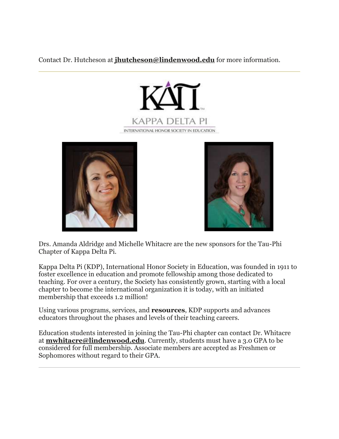Contact Dr. Hutcheson at **[jhutcheson@lindenwood.edu](mailto:jhutcheson@lindenwood.edu)** for more information.







Drs. Amanda Aldridge and Michelle Whitacre are the new sponsors for the Tau-Phi Chapter of Kappa Delta Pi.

Kappa Delta Pi (KDP), International Honor Society in Education, was founded in 1911 to foster excellence in education and promote fellowship among those dedicated to teaching. For over a century, the Society has consistently grown, starting with a local chapter to become the international organization it is today, with an initiated membership that exceeds 1.2 million!

Using various programs, services, and **[resources](https://r20.rs6.net/tn.jsp?f=001EUpAqZyStRFUO1qHByzd4KR7xwONzUXPDuP3gMrA_IkRHxjSeAoTU1VciyoXGEhOqAW1zVPSckSQ0XiA0Bwszqy3l5A_Ga1eqkHiMCKxvUxrdki_3zQF6QswrRF3B6Myk5HHordiw4OjlCD6HZqXTpwn7xxwYHFPBJfkM2QRIss=&c=Y40GkkSW_vXITTIKRsrFZmDT0fjBXdL9ozj6zp5-iJl6XEubLfvrXg==&ch=MiBODeUyJWZI0Pb68XRNarPa4s2TnX8zTE4w5mkcCoIkbhiCaYnkyA==)**, KDP supports and advances educators throughout the phases and levels of their teaching careers.

Education students interested in joining the Tau-Phi chapter can contact Dr. Whitacre at **[mwhitacre@lindenwood.edu](mailto:mwhitacre@lindenwood.edu)**. Currently, students must have a 3.0 GPA to be considered for full membership. Associate members are accepted as Freshmen or Sophomores without regard to their GPA.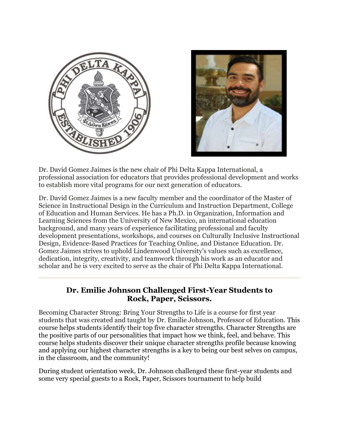



Dr. David Gomez Jaimes is the new chair of Phi Delta Kappa International, a professional association for educators that provides professional development and works to establish more vital programs for our next generation of educators.

Dr. David Gomez Jaimes is a new faculty member and the coordinator of the Master of Science in Instructional Design in the Curriculum and Instruction Department, College of Education and Human Services. He has a Ph.D. in Organization, Information and Learning Sciences from the University of New Mexico, an international education background, and many years of experience facilitating professional and faculty development presentations, workshops, and courses on Culturally Inclusive Instructional Design, Evidence-Based Practices for Teaching Online, and Distance Education. Dr. Gomez Jaimes strives to uphold Lindenwood University's values such as excellence, dedication, integrity, creativity, and teamwork through his work as an educator and scholar and he is very excited to serve as the chair of Phi Delta Kappa International.

### **Dr. Emilie Johnson Challenged First-Year Students to Rock, Paper, Scissors.**

Becoming Character Strong: Bring Your Strengths to Life is a course for first year students that was created and taught by Dr. Emilie Johnson, Professor of Education. This course helps students identify their top five character strengths. Character Strengths are the positive parts of our personalities that impact how we think, feel, and behave. This course helps students discover their unique character strengths profile because knowing and applying our highest character strengths is a key to being our best selves on campus, in the classroom, and the community!

During student orientation week, Dr. Johnson challenged these first-year students and some very special guests to a Rock, Paper, Scissors tournament to help build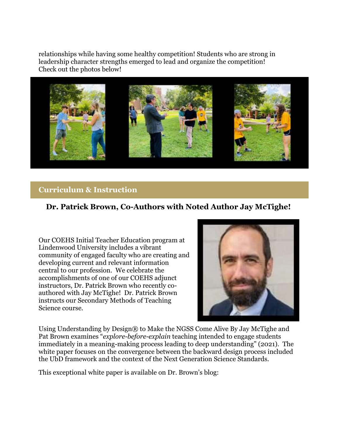relationships while having some healthy competition! Students who are strong in leadership character strengths emerged to lead and organize the competition! Check out the photos below!



#### **Curriculum & Instruction**

#### **Dr. Patrick Brown, Co-Authors with Noted Author Jay McTighe!**

Our COEHS Initial Teacher Education program at Lindenwood University includes a vibrant community of engaged faculty who are creating and developing current and relevant information central to our profession. We celebrate the accomplishments of one of our COEHS adjunct instructors, Dr. Patrick Brown who recently coauthored with Jay McTighe! Dr. Patrick Brown instructs our Secondary Methods of Teaching Science course.



Using Understanding by Design® to Make the NGSS Come Alive By Jay McTighe and Pat Brown examines "*explore-before-explain* teaching intended to engage students immediately in a meaning-making process leading to deep understanding" (2021). The white paper focuses on the convergence between the backward design process included the UbD framework and the context of the Next Generation Science Standards.

This exceptional white paper is available on Dr. Brown's blog: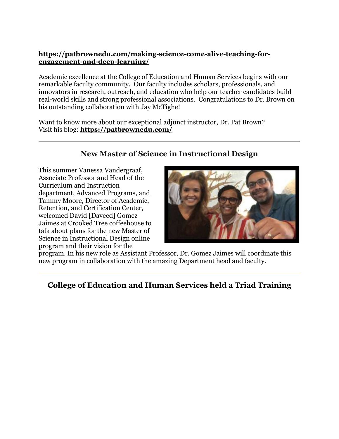#### **[https://patbrownedu.com/making-science-come-alive-teaching-for](https://r20.rs6.net/tn.jsp?f=001EUpAqZyStRFUO1qHByzd4KR7xwONzUXPDuP3gMrA_IkRHxjSeAoTU1VciyoXGEhOb8_us83a9PDOUP174pm-sqe-HfG1yWZDQKWDsBVjC205kYeDct-Ifee82SborO8dYDixD3iErBv9DDtT7oXhhQklAhZSbXnzxM1NUGLl2ZtuGBggo19ledl2zlxdbYt42b8ErWFll1dUwW2hOill7-zGwV-Jx44jRQJkOawxk9A=&c=Y40GkkSW_vXITTIKRsrFZmDT0fjBXdL9ozj6zp5-iJl6XEubLfvrXg==&ch=MiBODeUyJWZI0Pb68XRNarPa4s2TnX8zTE4w5mkcCoIkbhiCaYnkyA==)[engagement-and-deep-learning/](https://r20.rs6.net/tn.jsp?f=001EUpAqZyStRFUO1qHByzd4KR7xwONzUXPDuP3gMrA_IkRHxjSeAoTU1VciyoXGEhOb8_us83a9PDOUP174pm-sqe-HfG1yWZDQKWDsBVjC205kYeDct-Ifee82SborO8dYDixD3iErBv9DDtT7oXhhQklAhZSbXnzxM1NUGLl2ZtuGBggo19ledl2zlxdbYt42b8ErWFll1dUwW2hOill7-zGwV-Jx44jRQJkOawxk9A=&c=Y40GkkSW_vXITTIKRsrFZmDT0fjBXdL9ozj6zp5-iJl6XEubLfvrXg==&ch=MiBODeUyJWZI0Pb68XRNarPa4s2TnX8zTE4w5mkcCoIkbhiCaYnkyA==)**

Academic excellence at the College of Education and Human Services begins with our remarkable faculty community. Our faculty includes scholars, professionals, and innovators in research, outreach, and education who help our teacher candidates build real-world skills and strong professional associations. Congratulations to Dr. Brown on his outstanding collaboration with Jay McTighe!

Want to know more about our exceptional adjunct instructor, Dr. Pat Brown? Visit his blog: **[https://patbrownedu.com/](https://r20.rs6.net/tn.jsp?f=001EUpAqZyStRFUO1qHByzd4KR7xwONzUXPDuP3gMrA_IkRHxjSeAoTU1VciyoXGEhOfZyKT7K0SayTfpjESNOPfrjNowmLqROY6Cy2Nb8qR944jl_PrMGEAlyd3G9Maxk_GjyQn7WrHZVuHjkI7XoYtA==&c=Y40GkkSW_vXITTIKRsrFZmDT0fjBXdL9ozj6zp5-iJl6XEubLfvrXg==&ch=MiBODeUyJWZI0Pb68XRNarPa4s2TnX8zTE4w5mkcCoIkbhiCaYnkyA==)**

# **New Master of Science in Instructional Design**

This summer Vanessa Vandergraaf, Associate Professor and Head of the Curriculum and Instruction department, Advanced Programs, and Tammy Moore, Director of Academic, Retention, and Certification Center, welcomed David [Daveed] Gomez Jaimes at Crooked Tree coffeehouse to talk about plans for the new Master of Science in Instructional Design online program and their vision for the



program. In his new role as Assistant Professor, Dr. Gomez Jaimes will coordinate this new program in collaboration with the amazing Department head and faculty.

# **College of Education and Human Services held a Triad Training**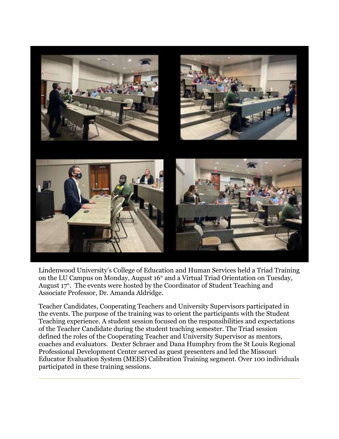

Lindenwood University's College of Education and Human Services held a Triad Training on the LU Campus on Monday, August  $16<sup>th</sup>$  and a Virtual Triad Orientation on Tuesday, August 17<sup>th</sup>. The events were hosted by the Coordinator of Student Teaching and Associate Professor, Dr. Amanda Aldridge.

Teacher Candidates, Cooperating Teachers and University Supervisors participated in the events. The purpose of the training was to orient the participants with the Student Teaching experience. A student session focused on the responsibilities and expectations of the Teacher Candidate during the student teaching semester. The Triad session defined the roles of the Cooperating Teacher and University Supervisor as mentors, coaches and evaluators. Dexter Schraer and Dana Humphry from the St Louis Regional Professional Development Center served as guest presenters and led the Missouri Educator Evaluation System (MEES) Calibration Training segment. Over 100 individuals participated in these training sessions.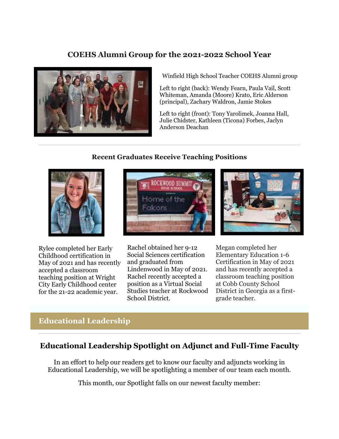# **COEHS Alumni Group for the 2021-2022 School Year**



Winfield High School Teacher COEHS Alumni group

Left to right (back): Wendy Fearn, Paula Vail, Scott Whiteman, Amanda (Moore) Krato, Eric Alderson (principal), Zachary Waldron, Jamie Stokes

Left to right (front): Tony Yarolimek, Joanna Hall, Julie Chidster, Kathleen (Ticona) Forbes, Jaclyn Anderson Deachan

#### **Recent Graduates Receive Teaching Positions**



Rylee completed her Early Childhood certification in May of 2021 and has recently accepted a classroom teaching position at Wright City Early Childhood center for the 21-22 academic year.





Rachel obtained her 9-12 Social Sciences certification and graduated from Lindenwood in May of 2021. Rachel recently accepted a position as a Virtual Social Studies teacher at Rockwood School District.

Megan completed her Elementary Education 1-6 Certification in May of 2021 and has recently accepted a classroom teaching position at Cobb County School District in Georgia as a firstgrade teacher.

# **Educational Leadership**

## **Educational Leadership Spotlight on Adjunct and Full-Time Faculty**

In an effort to help our readers get to know our faculty and adjuncts working in Educational Leadership, we will be spotlighting a member of our team each month.

This month, our Spotlight falls on our newest faculty member: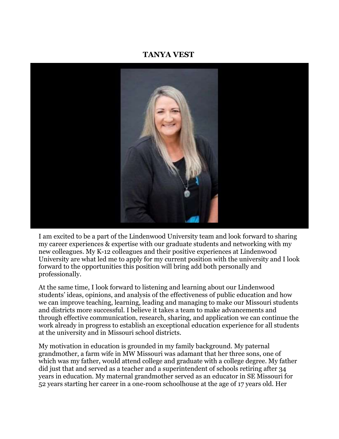#### **TANYA VEST**



I am excited to be a part of the Lindenwood University team and look forward to sharing my career experiences & expertise with our graduate students and networking with my new colleagues. My K-12 colleagues and their positive experiences at Lindenwood University are what led me to apply for my current position with the university and I look forward to the opportunities this position will bring add both personally and professionally.

At the same time, I look forward to listening and learning about our Lindenwood students' ideas, opinions, and analysis of the effectiveness of public education and how we can improve teaching, learning, leading and managing to make our Missouri students and districts more successful. I believe it takes a team to make advancements and through effective communication, research, sharing, and application we can continue the work already in progress to establish an exceptional education experience for all students at the university and in Missouri school districts.

My motivation in education is grounded in my family background. My paternal grandmother, a farm wife in MW Missouri was adamant that her three sons, one of which was my father, would attend college and graduate with a college degree. My father did just that and served as a teacher and a superintendent of schools retiring after 34 years in education. My maternal grandmother served as an educator in SE Missouri for 52 years starting her career in a one-room schoolhouse at the age of 17 years old. Her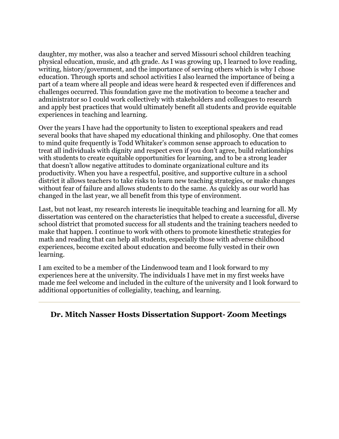daughter, my mother, was also a teacher and served Missouri school children teaching physical education, music, and 4th grade. As I was growing up, I learned to love reading, writing, history/government, and the importance of serving others which is why I chose education. Through sports and school activities I also learned the importance of being a part of a team where all people and ideas were heard & respected even if differences and challenges occurred. This foundation gave me the motivation to become a teacher and administrator so I could work collectively with stakeholders and colleagues to research and apply best practices that would ultimately benefit all students and provide equitable experiences in teaching and learning.

Over the years I have had the opportunity to listen to exceptional speakers and read several books that have shaped my educational thinking and philosophy. One that comes to mind quite frequently is Todd Whitaker's common sense approach to education to treat all individuals with dignity and respect even if you don't agree, build relationships with students to create equitable opportunities for learning, and to be a strong leader that doesn't allow negative attitudes to dominate organizational culture and its productivity. When you have a respectful, positive, and supportive culture in a school district it allows teachers to take risks to learn new teaching strategies, or make changes without fear of failure and allows students to do the same. As quickly as our world has changed in the last year, we all benefit from this type of environment.

Last, but not least, my research interests lie inequitable teaching and learning for all. My dissertation was centered on the characteristics that helped to create a successful, diverse school district that promoted success for all students and the training teachers needed to make that happen. I continue to work with others to promote kinesthetic strategies for math and reading that can help all students, especially those with adverse childhood experiences, become excited about education and become fully vested in their own learning.

I am excited to be a member of the Lindenwood team and I look forward to my experiences here at the university. The individuals I have met in my first weeks have made me feel welcome and included in the culture of the university and I look forward to additional opportunities of collegiality, teaching, and learning.

#### **Dr. Mitch Nasser Hosts Dissertation Support- Zoom Meetings**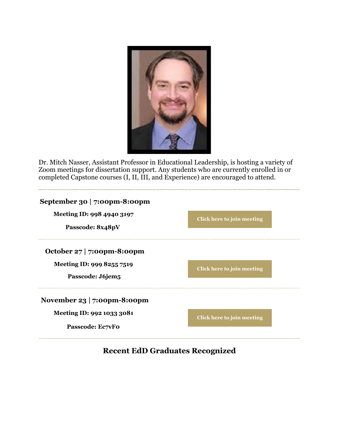

Dr. Mitch Nasser, Assistant Professor in Educational Leadership, is hosting a variety of Zoom meetings for dissertation support. Any students who are currently enrolled in or completed Capstone courses (I, II, III, and Experience) are encouraged to attend.

| September 30   7:00pm-8:00pm |                            |
|------------------------------|----------------------------|
| Meeting ID: 998 4940 3197    | Click here to join meeting |
| Passcode: 8x48pV             |                            |
| October 27   7:00pm-8:00pm   |                            |
| Meeting ID: 999 8255 7519    | Click here to join meeting |
| Passcode: J6jem5             |                            |
| November 23   7:00pm-8:00pm  |                            |
| Meeting ID: 992 1033 3081    | Click here to join meeting |
| Passcode: Ec7vFo             |                            |

# **Recent EdD Graduates Recognized**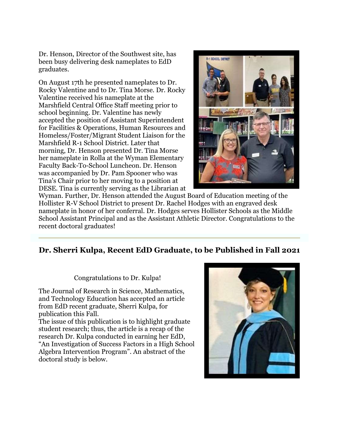Dr. Henson, Director of the Southwest site, has been busy delivering desk nameplates to EdD graduates.

On August 17th he presented nameplates to Dr. Rocky Valentine and to Dr. Tina Morse. Dr. Rocky Valentine received his nameplate at the Marshfield Central Office Staff meeting prior to school beginning. Dr. Valentine has newly accepted the position of Assistant Superintendent for Facilities & Operations, Human Resources and Homeless/Foster/Migrant Student Liaison for the Marshfield R-1 School District. Later that morning, Dr. Henson presented Dr. Tina Morse her nameplate in Rolla at the Wyman Elementary Faculty Back-To-School Luncheon. Dr. Henson was accompanied by Dr. Pam Spooner who was Tina's Chair prior to her moving to a position at DESE. Tina is currently serving as the Librarian at



Wyman. Further, Dr. Henson attended the August Board of Education meeting of the Hollister R-V School District to present Dr. Rachel Hodges with an engraved desk nameplate in honor of her conferral. Dr. Hodges serves Hollister Schools as the Middle School Assistant Principal and as the Assistant Athletic Director. Congratulations to the recent doctoral graduates!

# **Dr. Sherri Kulpa, Recent EdD Graduate, to be Published in Fall 2021**

Congratulations to Dr. Kulpa!

The Journal of Research in Science, Mathematics, and Technology Education has accepted an article from EdD recent graduate, Sherri Kulpa, for publication this Fall.

The issue of this publication is to highlight graduate student research; thus, the article is a recap of the research Dr. Kulpa conducted in earning her EdD, "An Investigation of Success Factors in a High School Algebra Intervention Program". An abstract of the doctoral study is below.

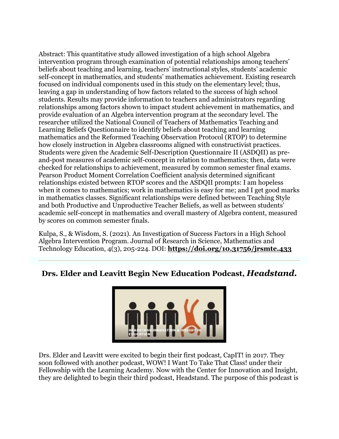Abstract: This quantitative study allowed investigation of a high school Algebra intervention program through examination of potential relationships among teachers' beliefs about teaching and learning, teachers' instructional styles, students' academic self-concept in mathematics, and students' mathematics achievement. Existing research focused on individual components used in this study on the elementary level; thus, leaving a gap in understanding of how factors related to the success of high school students. Results may provide information to teachers and administrators regarding relationships among factors shown to impact student achievement in mathematics, and provide evaluation of an Algebra intervention program at the secondary level. The researcher utilized the National Council of Teachers of Mathematics Teaching and Learning Beliefs Questionnaire to identify beliefs about teaching and learning mathematics and the Reformed Teaching Observation Protocol (RTOP) to determine how closely instruction in Algebra classrooms aligned with constructivist practices. Students were given the Academic Self-Description Questionnaire II (ASDQII) as preand-post measures of academic self-concept in relation to mathematics; then, data were checked for relationships to achievement, measured by common semester final exams. Pearson Product Moment Correlation Coefficient analysis determined significant relationships existed between RTOP scores and the ASDQII prompts: I am hopeless when it comes to mathematics; work in mathematics is easy for me; and I get good marks in mathematics classes. Significant relationships were defined between Teaching Style and both Productive and Unproductive Teacher Beliefs, as well as between students' academic self-concept in mathematics and overall mastery of Algebra content, measured by scores on common semester finals.

Kulpa, S., & Wisdom, S. (2021). An Investigation of Success Factors in a High School Algebra Intervention Program. Journal of Research in Science, Mathematics and Technology Education, 4(3), 205-224. DOI: **[https://doi.org/10.31756/jrsmte.433](https://r20.rs6.net/tn.jsp?f=001EUpAqZyStRFUO1qHByzd4KR7xwONzUXPDuP3gMrA_IkRHxjSeAoTU1VciyoXGEhOiBmBCFMHnYDN-0Ni9pp8EYbbChnpmPfGGPsVNmBxlgsbUoyrKU4eYPjQDbZ2PJfLY6uyolNbIiotUqqbk2a0V5_lGLRZdajB&c=Y40GkkSW_vXITTIKRsrFZmDT0fjBXdL9ozj6zp5-iJl6XEubLfvrXg==&ch=MiBODeUyJWZI0Pb68XRNarPa4s2TnX8zTE4w5mkcCoIkbhiCaYnkyA==)**

# **Drs. Elder and Leavitt Begin New Education Podcast,** *Headstand.*



Drs. Elder and Leavitt were excited to begin their first podcast, CapIT! in 2017. They soon followed with another podcast, WOW! I Want To Take That Class! under their Fellowship with the Learning Academy. Now with the Center for Innovation and Insight, they are delighted to begin their third podcast, Headstand. The purpose of this podcast is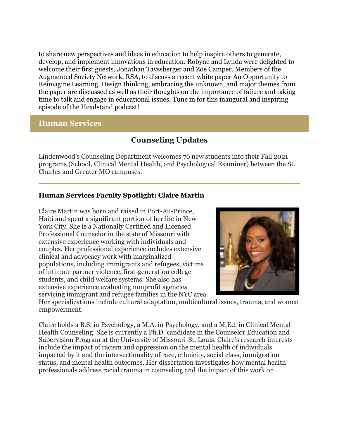to share new perspectives and ideas in education to help inspire others to generate, develop, and implement innovations in education. Robyne and Lynda were delighted to welcome their first guests, Jonathan Tavssberger and Zoe Camper. Members of the Augmented Society Network, RSA, to discuss a recent white paper An Opportunity to Reimagine Learning. Design thinking, embracing the unknown, and major themes from the paper are discussed as well as their thoughts on the importance of failure and taking time to talk and engage in educational issues. Tune in for this inaugural and inspiring episode of the Headstand podcast!

#### **Human Services**

# **Counseling Updates**

Lindenwood's Counseling Department welcomes 76 new students into their Fall 2021 programs (School, Clinical Mental Health, and Psychological Examiner) between the St. Charles and Greater MO campuses.

#### **Human Services Faculty Spotlight: Claire Martin**

Claire Martin was born and raised in Port-Au-Prince, Haiti and spent a significant portion of her life in New York City. She is a Nationally Certified and Licensed Professional Counselor in the state of Missouri with extensive experience working with individuals and couples. Her professional experience includes extensive clinical and advocacy work with marginalized populations, including immigrants and refugees, victims of intimate partner violence, first-generation college students, and child welfare systems. She also has extensive experience evaluating nonprofit agencies servicing immigrant and refugee families in the NYC area.



Her specializations include cultural adaptation, multicultural issues, trauma, and women empowerment.

Claire holds a B.S. in Psychology, a M.A. in Psychology, and a M.Ed. in Clinical Mental Health Counseling. She is currently a Ph.D. candidate in the Counselor Education and Supervision Program at the University of Missouri-St. Louis. Claire's research interests include the impact of racism and oppression on the mental health of individuals impacted by it and the intersectionality of race, ethnicity, social class, immigration status, and mental health outcomes. Her dissertation investigates how mental health professionals address racial trauma in counseling and the impact of this work on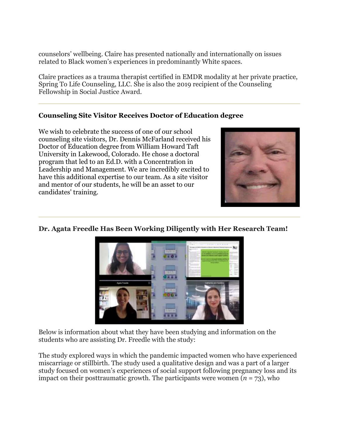counselors' wellbeing. Claire has presented nationally and internationally on issues related to Black women's experiences in predominantly White spaces.

Claire practices as a trauma therapist certified in EMDR modality at her private practice, Spring To Life Counseling, LLC. She is also the 2019 recipient of the Counseling Fellowship in Social Justice Award.

#### **Counseling Site Visitor Receives Doctor of Education degree**

We wish to celebrate the success of one of our school counseling site visitors, Dr. Dennis McFarland received his Doctor of Education degree from William Howard Taft University in Lakewood, Colorado. He chose a doctoral program that led to an Ed.D. with a Concentration in Leadership and Management. We are incredibly excited to have this additional expertise to our team. As a site visitor and mentor of our students, he will be an asset to our candidates' training.



#### **Dr. Agata Freedle Has Been Working Diligently with Her Research Team!**



Below is information about what they have been studying and information on the students who are assisting Dr. Freedle with the study:

The study explored ways in which the pandemic impacted women who have experienced miscarriage or stillbirth. The study used a qualitative design and was a part of a larger study focused on women's experiences of social support following pregnancy loss and its impact on their posttraumatic growth. The participants were women  $(n = 73)$ , who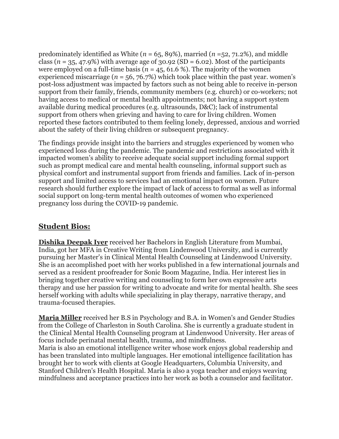predominately identified as White (*n* = 65, 89%), married (*n* =52, 71.2%), and middle class ( $n = 35, 47.9\%$ ) with average age of  $30.92$  (SD = 6.02). Most of the participants were employed on a full-time basis ( $n = 45, 61.6$ %). The majority of the women experienced miscarriage ( $n = 56, 76.7\%$ ) which took place within the past year. women's post-loss adjustment was impacted by factors such as not being able to receive in-person support from their family, friends, community members (e.g. church) or co-workers; not having access to medical or mental health appointments; not having a support system available during medical procedures (e.g. ultrasounds, D&C); lack of instrumental support from others when grieving and having to care for living children. Women reported these factors contributed to them feeling lonely, depressed, anxious and worried about the safety of their living children or subsequent pregnancy.

The findings provide insight into the barriers and struggles experienced by women who experienced loss during the pandemic. The pandemic and restrictions associated with it impacted women's ability to receive adequate social support including formal support such as prompt medical care and mental health counseling, informal support such as physical comfort and instrumental support from friends and families. Lack of in-person support and limited access to services had an emotional impact on women. Future research should further explore the impact of lack of access to formal as well as informal social support on long-term mental health outcomes of women who experienced pregnancy loss during the COVID-19 pandemic.

# **Student Bios:**

**Dishika Deepak Iyer** received her Bachelors in English Literature from Mumbai, India, got her MFA in Creative Writing from Lindenwood University, and is currently pursuing her Master's in Clinical Mental Health Counseling at Lindenwood University. She is an accomplished poet with her works published in a few international journals and served as a resident proofreader for Sonic Boom Magazine, India. Her interest lies in bringing together creative writing and counseling to form her own expressive arts therapy and use her passion for writing to advocate and write for mental health. She sees herself working with adults while specializing in play therapy, narrative therapy, and trauma-focused therapies.

**Maria Miller** received her B.S in Psychology and B.A. in Women's and Gender Studies from the College of Charleston in South Carolina. She is currently a graduate student in the Clinical Mental Health Counseling program at Lindenwood University. Her areas of focus include perinatal mental health, trauma, and mindfulness.

Maria is also an emotional intelligence writer whose work enjoys global readership and has been translated into multiple languages. Her emotional intelligence facilitation has brought her to work with clients at Google Headquarters, Columbia University, and Stanford Children's Health Hospital. Maria is also a yoga teacher and enjoys weaving mindfulness and acceptance practices into her work as both a counselor and facilitator.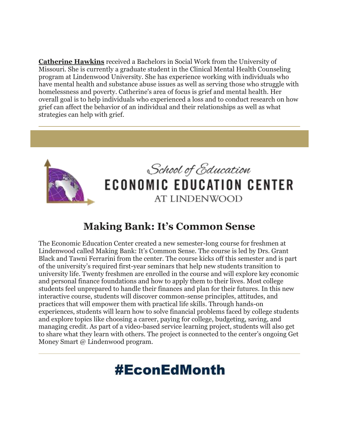**Catherine Hawkins** received a Bachelors in Social Work from the University of Missouri. She is currently a graduate student in the Clinical Mental Health Counseling program at Lindenwood University. She has experience working with individuals who have mental health and substance abuse issues as well as serving those who struggle with homelessness and poverty. Catherine's area of focus is grief and mental health. Her overall goal is to help individuals who experienced a loss and to conduct research on how grief can affect the behavior of an individual and their relationships as well as what strategies can help with grief.



# **Making Bank: It's Common Sense**

The Economic Education Center created a new semester-long course for freshmen at Lindenwood called Making Bank: It's Common Sense. The course is led by Drs. Grant Black and Tawni Ferrarini from the center. The course kicks off this semester and is part of the university's required first-year seminars that help new students transition to university life. Twenty freshmen are enrolled in the course and will explore key economic and personal finance foundations and how to apply them to their lives. Most college students feel unprepared to handle their finances and plan for their futures. In this new interactive course, students will discover common-sense principles, attitudes, and practices that will empower them with practical life skills. Through hands-on experiences, students will learn how to solve financial problems faced by college students and explore topics like choosing a career, paying for college, budgeting, saving, and managing credit. As part of a video-based service learning project, students will also get to share what they learn with others. The project is connected to the center's ongoing Get Money Smart @ Lindenwood program.

# **#EconEdMonth**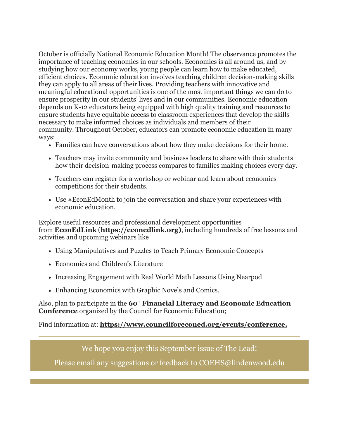October is officially National Economic Education Month! The observance promotes the importance of teaching economics in our schools. Economics is all around us, and by studying how our economy works, young people can learn how to make educated, efficient choices. Economic education involves teaching children decision-making skills they can apply to all areas of their lives. Providing teachers with innovative and meaningful educational opportunities is one of the most important things we can do to ensure prosperity in our students' lives and in our communities. Economic education depends on K-12 educators being equipped with high quality training and resources to ensure students have equitable access to classroom experiences that develop the skills necessary to make informed choices as individuals and members of their community. Throughout October, educators can promote economic education in many ways:

- Families can have conversations about how they make decisions for their home.
- Teachers may invite community and business leaders to share with their students how their decision-making process compares to families making choices every day.
- Teachers can register for a workshop or webinar and learn about economics competitions for their students.
- Use #EconEdMonth to join the conversation and share your experiences with economic education.

Explore useful resources and professional development opportunities from **EconEdLink** (**[https://econedlink.org\)](https://r20.rs6.net/tn.jsp?f=001EUpAqZyStRFUO1qHByzd4KR7xwONzUXPDuP3gMrA_IkRHxjSeAoTU1VciyoXGEhOdsZlbSF__4Sc9zwjKbZyuUW20S_5KiRnOZB2C6_4BayPpxiaU22OfHYSvKVl7g7eIiPR4zUScfVUL_L0M3QcDw==&c=Y40GkkSW_vXITTIKRsrFZmDT0fjBXdL9ozj6zp5-iJl6XEubLfvrXg==&ch=MiBODeUyJWZI0Pb68XRNarPa4s2TnX8zTE4w5mkcCoIkbhiCaYnkyA==)**, including hundreds of free lessons and activities and upcoming webinars like

- Using Manipulatives and Puzzles to Teach Primary Economic Concepts
- Economics and Children's Literature
- Increasing Engagement with Real World Math Lessons Using Nearpod
- Enhancing Economics with Graphic Novels and Comics.

Also, plan to participate in the **60th Financial Literacy and Economic Education Conference** organized by the Council for Economic Education;

Find information at: **[https://www.councilforeconed.org/events/conference.](https://r20.rs6.net/tn.jsp?f=001EUpAqZyStRFUO1qHByzd4KR7xwONzUXPDuP3gMrA_IkRHxjSeAoTU1VciyoXGEhOtHZJqOhBAwT6J9w-xxRWogl3V0xvdukM4L4uitm7I3CIDskW3XEj_s7Mk8No7yhs2wmRHHh2h7Mi050oLDow_9ewHszY9nT9cWoNffmAhJ6UBZSXBZn09Q==&c=Y40GkkSW_vXITTIKRsrFZmDT0fjBXdL9ozj6zp5-iJl6XEubLfvrXg==&ch=MiBODeUyJWZI0Pb68XRNarPa4s2TnX8zTE4w5mkcCoIkbhiCaYnkyA==)**

We hope you enjoy this September issue of The Lead!

Please email any suggestions or feedback to COEHS@lindenwood.edu